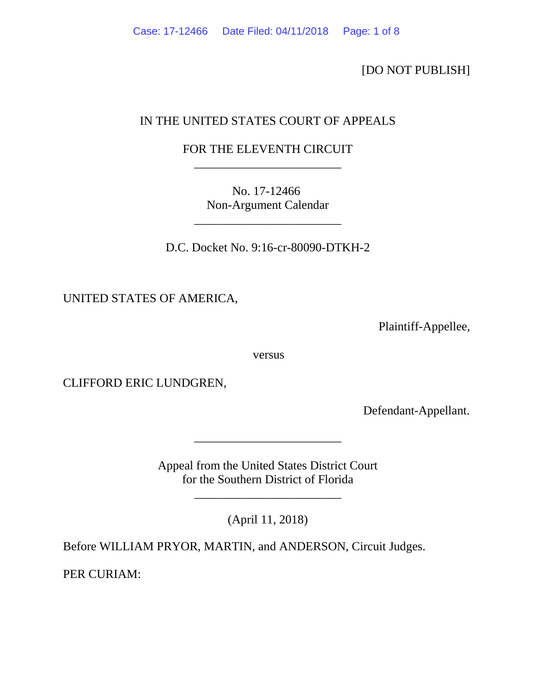[DO NOT PUBLISH]

# IN THE UNITED STATES COURT OF APPEALS

# FOR THE ELEVENTH CIRCUIT \_\_\_\_\_\_\_\_\_\_\_\_\_\_\_\_\_\_\_\_\_\_\_\_

No. 17-12466 Non-Argument Calendar

\_\_\_\_\_\_\_\_\_\_\_\_\_\_\_\_\_\_\_\_\_\_\_\_

D.C. Docket No. 9:16-cr-80090-DTKH-2

UNITED STATES OF AMERICA,

Plaintiff-Appellee,

versus

CLIFFORD ERIC LUNDGREN,

Defendant-Appellant.

Appeal from the United States District Court for the Southern District of Florida

\_\_\_\_\_\_\_\_\_\_\_\_\_\_\_\_\_\_\_\_\_\_\_\_

(April 11, 2018)

\_\_\_\_\_\_\_\_\_\_\_\_\_\_\_\_\_\_\_\_\_\_\_\_

Before WILLIAM PRYOR, MARTIN, and ANDERSON, Circuit Judges.

PER CURIAM: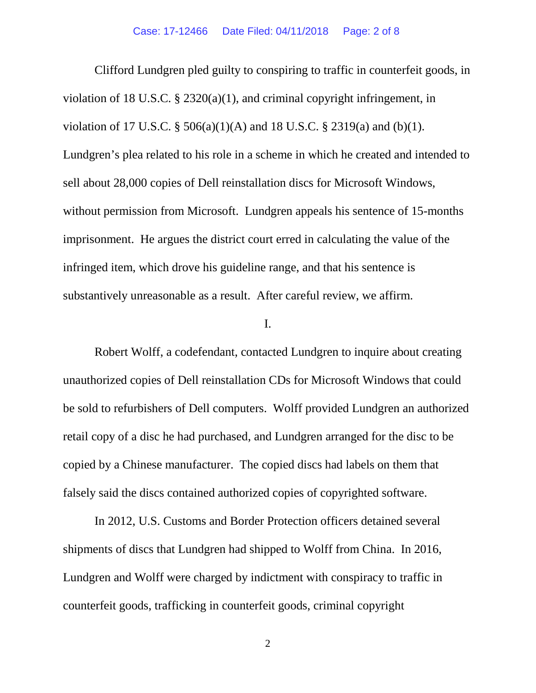Clifford Lundgren pled guilty to conspiring to traffic in counterfeit goods, in violation of 18 U.S.C. § 2320(a)(1), and criminal copyright infringement, in violation of 17 U.S.C. § 506(a)(1)(A) and 18 U.S.C. § 2319(a) and (b)(1). Lundgren's plea related to his role in a scheme in which he created and intended to sell about 28,000 copies of Dell reinstallation discs for Microsoft Windows, without permission from Microsoft. Lundgren appeals his sentence of 15-months imprisonment. He argues the district court erred in calculating the value of the infringed item, which drove his guideline range, and that his sentence is substantively unreasonable as a result. After careful review, we affirm.

## I.

Robert Wolff, a codefendant, contacted Lundgren to inquire about creating unauthorized copies of Dell reinstallation CDs for Microsoft Windows that could be sold to refurbishers of Dell computers. Wolff provided Lundgren an authorized retail copy of a disc he had purchased, and Lundgren arranged for the disc to be copied by a Chinese manufacturer. The copied discs had labels on them that falsely said the discs contained authorized copies of copyrighted software.

In 2012, U.S. Customs and Border Protection officers detained several shipments of discs that Lundgren had shipped to Wolff from China. In 2016, Lundgren and Wolff were charged by indictment with conspiracy to traffic in counterfeit goods, trafficking in counterfeit goods, criminal copyright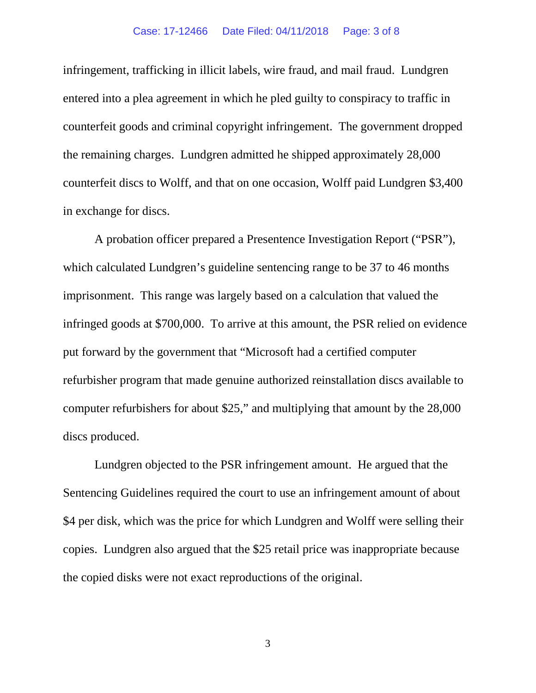infringement, trafficking in illicit labels, wire fraud, and mail fraud. Lundgren entered into a plea agreement in which he pled guilty to conspiracy to traffic in counterfeit goods and criminal copyright infringement. The government dropped the remaining charges. Lundgren admitted he shipped approximately 28,000 counterfeit discs to Wolff, and that on one occasion, Wolff paid Lundgren \$3,400 in exchange for discs.

A probation officer prepared a Presentence Investigation Report ("PSR"), which calculated Lundgren's guideline sentencing range to be 37 to 46 months imprisonment. This range was largely based on a calculation that valued the infringed goods at \$700,000. To arrive at this amount, the PSR relied on evidence put forward by the government that "Microsoft had a certified computer refurbisher program that made genuine authorized reinstallation discs available to computer refurbishers for about \$25," and multiplying that amount by the 28,000 discs produced.

Lundgren objected to the PSR infringement amount. He argued that the Sentencing Guidelines required the court to use an infringement amount of about \$4 per disk, which was the price for which Lundgren and Wolff were selling their copies. Lundgren also argued that the \$25 retail price was inappropriate because the copied disks were not exact reproductions of the original.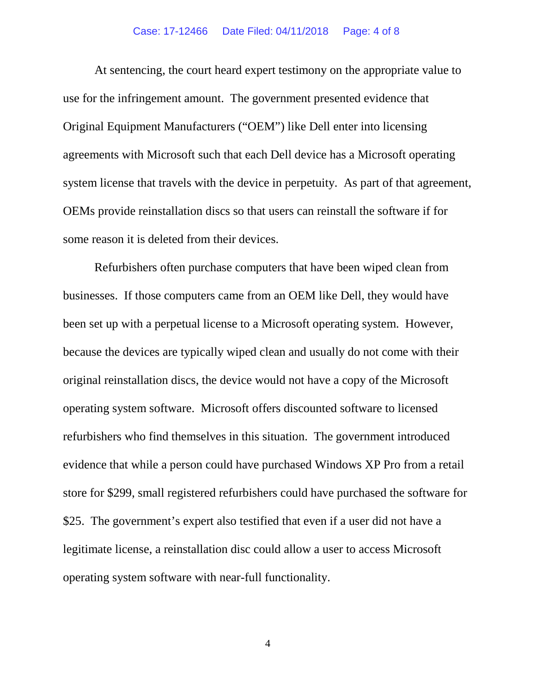At sentencing, the court heard expert testimony on the appropriate value to use for the infringement amount. The government presented evidence that Original Equipment Manufacturers ("OEM") like Dell enter into licensing agreements with Microsoft such that each Dell device has a Microsoft operating system license that travels with the device in perpetuity. As part of that agreement, OEMs provide reinstallation discs so that users can reinstall the software if for some reason it is deleted from their devices.

Refurbishers often purchase computers that have been wiped clean from businesses. If those computers came from an OEM like Dell, they would have been set up with a perpetual license to a Microsoft operating system. However, because the devices are typically wiped clean and usually do not come with their original reinstallation discs, the device would not have a copy of the Microsoft operating system software. Microsoft offers discounted software to licensed refurbishers who find themselves in this situation. The government introduced evidence that while a person could have purchased Windows XP Pro from a retail store for \$299, small registered refurbishers could have purchased the software for \$25. The government's expert also testified that even if a user did not have a legitimate license, a reinstallation disc could allow a user to access Microsoft operating system software with near-full functionality.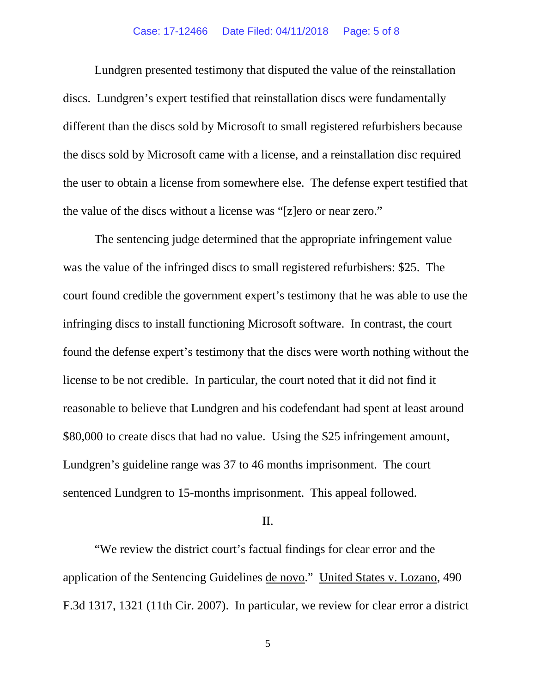Lundgren presented testimony that disputed the value of the reinstallation discs. Lundgren's expert testified that reinstallation discs were fundamentally different than the discs sold by Microsoft to small registered refurbishers because the discs sold by Microsoft came with a license, and a reinstallation disc required the user to obtain a license from somewhere else. The defense expert testified that the value of the discs without a license was "[z]ero or near zero."

The sentencing judge determined that the appropriate infringement value was the value of the infringed discs to small registered refurbishers: \$25. The court found credible the government expert's testimony that he was able to use the infringing discs to install functioning Microsoft software. In contrast, the court found the defense expert's testimony that the discs were worth nothing without the license to be not credible. In particular, the court noted that it did not find it reasonable to believe that Lundgren and his codefendant had spent at least around \$80,000 to create discs that had no value. Using the \$25 infringement amount, Lundgren's guideline range was 37 to 46 months imprisonment. The court sentenced Lundgren to 15-months imprisonment. This appeal followed.

### II.

"We review the district court's factual findings for clear error and the application of the Sentencing Guidelines de novo." United States v. Lozano, 490 F.3d 1317, 1321 (11th Cir. 2007). In particular, we review for clear error a district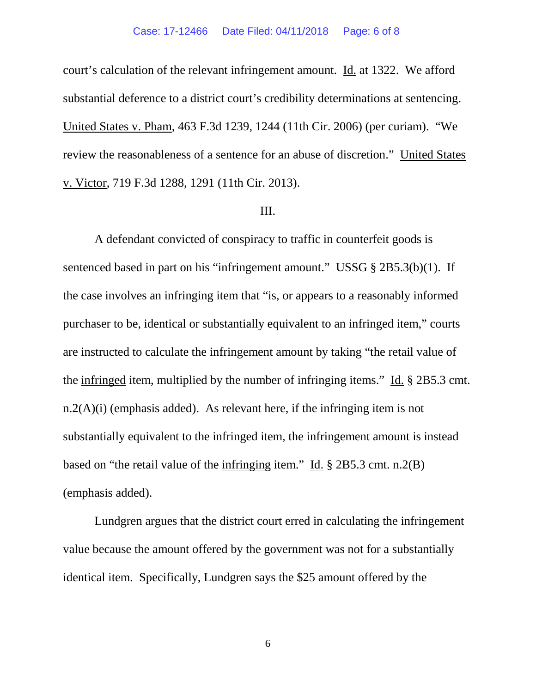court's calculation of the relevant infringement amount. Id. at 1322. We afford substantial deference to a district court's credibility determinations at sentencing. United States v. Pham, 463 F.3d 1239, 1244 (11th Cir. 2006) (per curiam). "We review the reasonableness of a sentence for an abuse of discretion." United States v. Victor, 719 F.3d 1288, 1291 (11th Cir. 2013).

#### III.

A defendant convicted of conspiracy to traffic in counterfeit goods is sentenced based in part on his "infringement amount." USSG § 2B5.3(b)(1). If the case involves an infringing item that "is, or appears to a reasonably informed purchaser to be, identical or substantially equivalent to an infringed item," courts are instructed to calculate the infringement amount by taking "the retail value of the infringed item, multiplied by the number of infringing items." Id. § 2B5.3 cmt.  $n.2(A)(i)$  (emphasis added). As relevant here, if the infringing item is not substantially equivalent to the infringed item, the infringement amount is instead based on "the retail value of the infringing item." Id. § 2B5.3 cmt. n.2(B) (emphasis added).

Lundgren argues that the district court erred in calculating the infringement value because the amount offered by the government was not for a substantially identical item. Specifically, Lundgren says the \$25 amount offered by the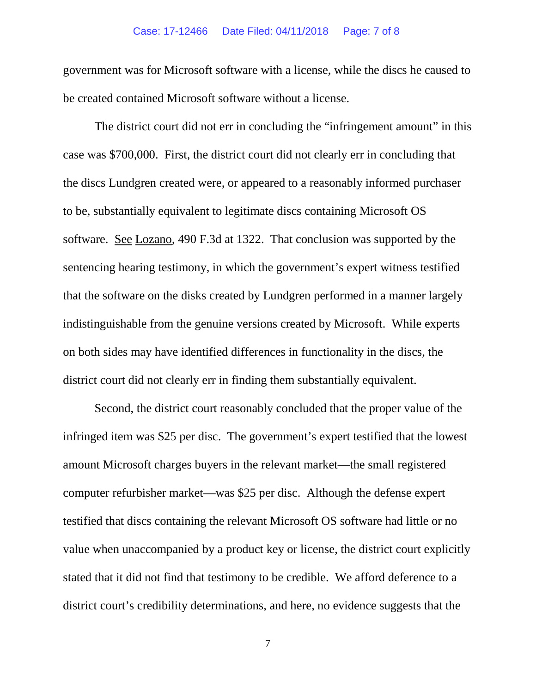### Case: 17-12466 Date Filed: 04/11/2018 Page: 7 of 8

government was for Microsoft software with a license, while the discs he caused to be created contained Microsoft software without a license.

The district court did not err in concluding the "infringement amount" in this case was \$700,000. First, the district court did not clearly err in concluding that the discs Lundgren created were, or appeared to a reasonably informed purchaser to be, substantially equivalent to legitimate discs containing Microsoft OS software. See Lozano, 490 F.3d at 1322. That conclusion was supported by the sentencing hearing testimony, in which the government's expert witness testified that the software on the disks created by Lundgren performed in a manner largely indistinguishable from the genuine versions created by Microsoft. While experts on both sides may have identified differences in functionality in the discs, the district court did not clearly err in finding them substantially equivalent.

Second, the district court reasonably concluded that the proper value of the infringed item was \$25 per disc. The government's expert testified that the lowest amount Microsoft charges buyers in the relevant market—the small registered computer refurbisher market—was \$25 per disc. Although the defense expert testified that discs containing the relevant Microsoft OS software had little or no value when unaccompanied by a product key or license, the district court explicitly stated that it did not find that testimony to be credible. We afford deference to a district court's credibility determinations, and here, no evidence suggests that the